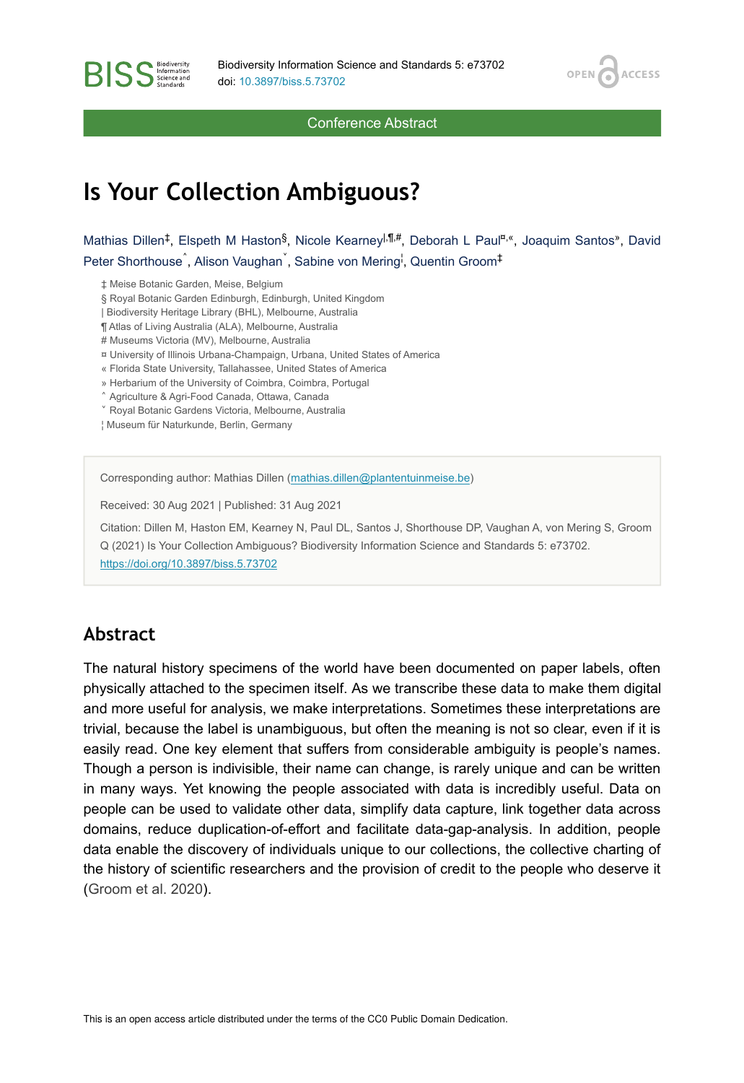OPEN<sub>C</sub>

**ACCESS** 

Conference Abstract

# **Is Your Collection Ambiguous?**

Mathias Dillen<sup>‡</sup>, Elspeth M Haston<sup>§</sup>, Nicole Kearney<sup>|,¶#</sup>, Deborah L Paul<sup>¤,«</sup>, Joaquim Santos», David Peter Shorthouse<sup>^</sup>, Alison Vaughan<sup>`</sup>, Sabine von Mering<sup>!</sup>, Quentin Groom<sup>‡</sup>

‡ Meise Botanic Garden, Meise, Belgium

**BISS** Steince and

§ Royal Botanic Garden Edinburgh, Edinburgh, United Kingdom

| Biodiversity Heritage Library (BHL), Melbourne, Australia

¶ Atlas of Living Australia (ALA), Melbourne, Australia

# Museums Victoria (MV), Melbourne, Australia

¤ University of Illinois Urbana-Champaign, Urbana, United States of America

« Florida State University, Tallahassee, United States of America

» Herbarium of the University of Coimbra, Coimbra, Portugal

˄ Agriculture & Agri-Food Canada, Ottawa, Canada

˅ Royal Botanic Gardens Victoria, Melbourne, Australia

¦ Museum für Naturkunde, Berlin, Germany

Corresponding author: Mathias Dillen ([mathias.dillen@plantentuinmeise.be](mailto:mathias.dillen@plantentuinmeise.be))

Received: 30 Aug 2021 | Published: 31 Aug 2021

Citation: Dillen M, Haston EM, Kearney N, Paul DL, Santos J, Shorthouse DP, Vaughan A, von Mering S, Groom Q (2021) Is Your Collection Ambiguous? Biodiversity Information Science and Standards 5: e73702. <https://doi.org/10.3897/biss.5.73702>

#### **Abstract**

The natural history specimens of the world have been documented on paper labels, often physically attached to the specimen itself. As we transcribe these data to make them digital and more useful for analysis, we make interpretations. Sometimes these interpretations are trivial, because the label is unambiguous, but often the meaning is not so clear, even if it is easily read. One key element that suffers from considerable ambiguity is people's names. Though a person is indivisible, their name can change, is rarely unique and can be written in many ways. Yet knowing the people associated with data is incredibly useful. Data on people can be used to validate other data, simplify data capture, link together data across domains, reduce duplication-of-effort and facilitate data-gap-analysis. In addition, people data enable the discovery of individuals unique to our collections, the collective charting of the history of scientific researchers and the provision of credit to the people who deserve it [\(Groom et al. 2020](#page-2-0)).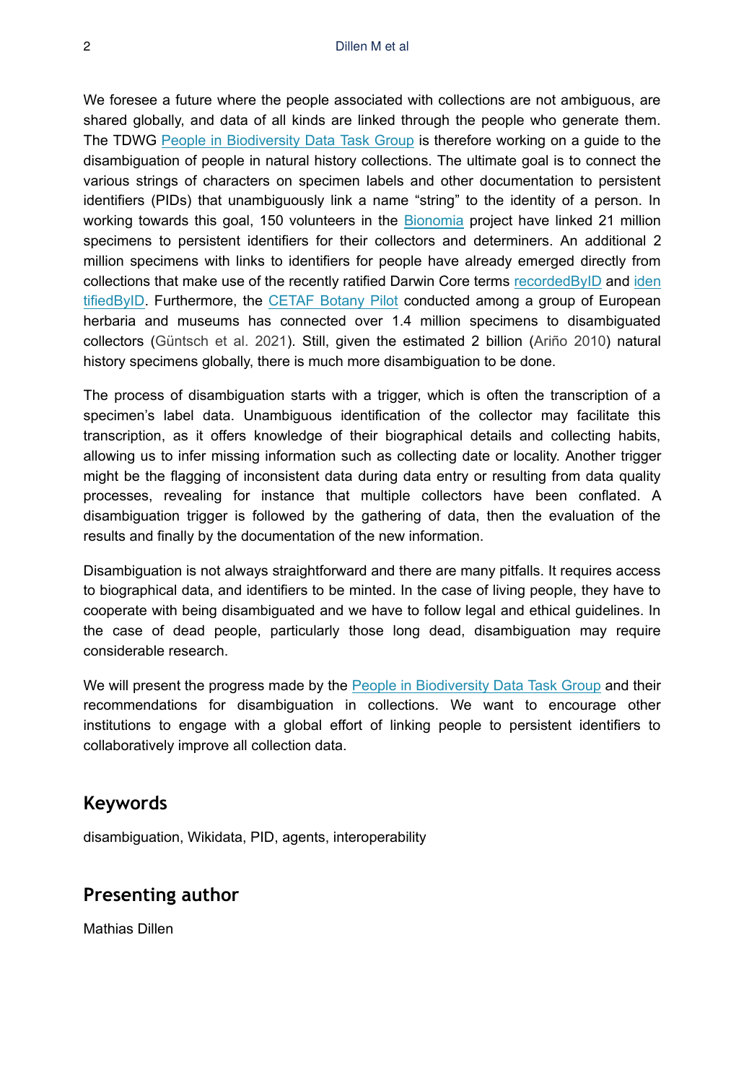We foresee a future where the people associated with collections are not ambiguous, are shared globally, and data of all kinds are linked through the people who generate them. The TDWG [People in Biodiversity Data Task Group](https://www.tdwg.org/community/attribution/people/) is therefore working on a guide to the disambiguation of people in natural history collections. The ultimate goal is to connect the various strings of characters on specimen labels and other documentation to persistent identifiers (PIDs) that unambiguously link a name "string" to the identity of a person. In working towards this goal, 150 volunteers in the [Bionomia](https://bionomia.net/) project have linked 21 million specimens to persistent identifiers for their collectors and determiners. An additional 2 million specimens with links to identifiers for people have already emerged directly from collections that make use of the recently ratified Darwin Core terms [recordedByID](https://github.com/tdwg/dwc/issues/102) and [iden](https://github.com/tdwg/dwc/issues/101) [tifiedByID.](https://github.com/tdwg/dwc/issues/101) Furthermore, the [CETAF Botany Pilot](https://t.co/z6Zk6SJsM8) conducted among a group of European herbaria and museums has connected over 1.4 million specimens to disambiguated collectors ([Güntsch et al. 2021](#page-2-1)). Still, given the estimated 2 billion ([Ariño 2010\)](#page-2-2) natural history specimens globally, there is much more disambiguation to be done.

The process of disambiguation starts with a trigger, which is often the transcription of a specimen's label data. Unambiguous identification of the collector may facilitate this transcription, as it offers knowledge of their biographical details and collecting habits, allowing us to infer missing information such as collecting date or locality. Another trigger might be the flagging of inconsistent data during data entry or resulting from data quality processes, revealing for instance that multiple collectors have been conflated. A disambiguation trigger is followed by the gathering of data, then the evaluation of the results and finally by the documentation of the new information.

Disambiguation is not always straightforward and there are many pitfalls. It requires access to biographical data, and identifiers to be minted. In the case of living people, they have to cooperate with being disambiguated and we have to follow legal and ethical guidelines. In the case of dead people, particularly those long dead, disambiguation may require considerable research.

We will present the progress made by the [People in Biodiversity Data Task Group](https://www.tdwg.org/community/attribution/people/) and their recommendations for disambiguation in collections. We want to encourage other institutions to engage with a global effort of linking people to persistent identifiers to collaboratively improve all collection data.

### **Keywords**

disambiguation, Wikidata, PID, agents, interoperability

### **Presenting author**

Mathias Dillen